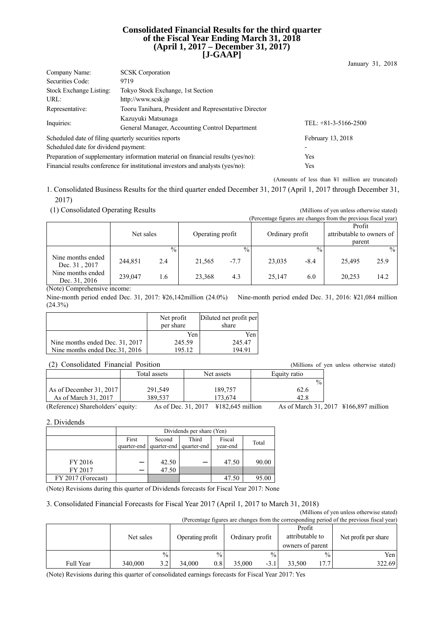### **Consolidated Financial Results for the third quarter of the Fiscal Year Ending March 31, 2018 (April 1, 2017 – December 31, 2017) [J-GAAP]**

| Company Name:                                                                    | <b>SCSK</b> Corporation                                                         |                        |
|----------------------------------------------------------------------------------|---------------------------------------------------------------------------------|------------------------|
| Securities Code:                                                                 | 9719                                                                            |                        |
| Stock Exchange Listing:                                                          | Tokyo Stock Exchange, 1st Section                                               |                        |
| URL:                                                                             | http://www.scsk.jp                                                              |                        |
| Representative:                                                                  | Tooru Tanihara, President and Representative Director                           |                        |
| Inquiries:                                                                       | Kazuvuki Matsunaga                                                              | TEL: $+81-3-5166-2500$ |
|                                                                                  | General Manager, Accounting Control Department                                  |                        |
| Scheduled date of filing quarterly securities reports                            |                                                                                 | February 13, 2018      |
| Scheduled date for dividend payment:                                             |                                                                                 |                        |
| Preparation of supplementary information material on financial results (yes/no): | Yes                                                                             |                        |
|                                                                                  | Financial results conference for institutional investors and analysts (yes/no): | Yes                    |

(Amounts of less than ¥1 million are truncated)

January 31, 2018

1. Consolidated Business Results for the third quarter ended December 31, 2017 (April 1, 2017 through December 31, 2017)

(1) Consolidated Operating Results (Millions of yen unless otherwise stated)

|                                    |           |                 |                  |               |                 |               | (Percentage figures are changes from the previous fiscal year) |               |
|------------------------------------|-----------|-----------------|------------------|---------------|-----------------|---------------|----------------------------------------------------------------|---------------|
|                                    |           |                 |                  |               |                 |               | Profit                                                         |               |
|                                    | Net sales |                 | Operating profit |               | Ordinary profit |               | attributable to owners of                                      |               |
|                                    |           |                 |                  |               |                 |               | parent                                                         |               |
|                                    |           | $\frac{0}{0}$ . |                  | $\frac{0}{0}$ |                 | $\frac{0}{0}$ |                                                                | $\frac{0}{0}$ |
| Nine months ended<br>Dec. 31, 2017 | 244,851   | 2.4             | 21,565           | $-7.7$        | 23,035          | $-8.4$        | 25,495                                                         | 25.9          |
| Nine months ended<br>Dec. 31, 2016 | 239.047   | 1.6             | 23,368           | 4.3           | 25.147          | 6.0           | 20.253                                                         | 14.2          |

(Note) Comprehensive income:

Nine-month period ended Dec. 31, 2017: ¥26,142million (24.0%) Nine-month period ended Dec. 31, 2016: ¥21,084 million (24.3%)

|                                 | Net profit<br>per share | Diluted net profit per<br>share |
|---------------------------------|-------------------------|---------------------------------|
|                                 | Yen                     | Yen                             |
| Nine months ended Dec. 31, 2017 | 245.59                  | 245.47                          |
| Nine months ended Dec. 31, 2016 | 195 12                  | 194.91                          |

## (2) Consolidated Financial Position (Millions of yen unless otherwise stated)

| $(2)$ consondated I maneral Toshion |              |                                                                                      |               | (MHIDIS 01 VCH unicss Otherwise stated                                                          |
|-------------------------------------|--------------|--------------------------------------------------------------------------------------|---------------|-------------------------------------------------------------------------------------------------|
|                                     | Total assets | Net assets                                                                           | Equity ratio  |                                                                                                 |
|                                     |              |                                                                                      | $\frac{0}{0}$ |                                                                                                 |
| As of December 31, 2017             | 291.549      | 189.757                                                                              | 62.6          |                                                                                                 |
| As of March 31, 2017                | 389.537      | 173.674                                                                              | 42.8          |                                                                                                 |
|                                     |              | $\lambda = 0.77 \pm 0.1$ $\lambda = 0.17$ $\lambda = 0.102$ $\lambda = 0.11 \pm 0.1$ |               | $\lambda = 0.1$ $\lambda = 1.21$ $\lambda = 2017$ $\lambda = 167$ $\lambda = 0.07$ $\ldots$ 111 |

(Reference) Shareholders' equity: As of Dec. 31, 2017 ¥182,645 million As of March 31, 2017 ¥166,897 million

### 2. Dividends

|                    | Dividends per share (Yen) |                                     |       |          |       |  |
|--------------------|---------------------------|-------------------------------------|-------|----------|-------|--|
|                    | First                     | Second                              | Third | Fiscal   | Total |  |
|                    |                           | quarter-end quarter-end quarter-end |       | year-end |       |  |
|                    |                           |                                     |       |          |       |  |
| FY 2016            |                           | 42.50                               |       | 47.50    | 90.00 |  |
| FY 2017            |                           | 47.50                               |       |          |       |  |
| FY 2017 (Forecast) |                           |                                     |       | 47.50    | 95.00 |  |

(Note) Revisions during this quarter of Dividends forecasts for Fiscal Year 2017: None

### 3. Consolidated Financial Forecasts for Fiscal Year 2017 (April 1, 2017 to March 31, 2018)

(Millions of yen unless otherwise stated)  $\overline{a}$  (Percentage figures are changes from the corresponding period

|           | (Fercentage rigures are changes from the corresponding period of the previous fiscar year) |           |               |                  |               |                 |               |                                               |               |                      |
|-----------|--------------------------------------------------------------------------------------------|-----------|---------------|------------------|---------------|-----------------|---------------|-----------------------------------------------|---------------|----------------------|
|           |                                                                                            | Net sales |               | Operating profit |               | Ordinary profit |               | Profit<br>attributable to<br>owners of parent |               | Net profit per share |
|           |                                                                                            |           | $\frac{0}{0}$ |                  | $\frac{0}{0}$ |                 | $\frac{0}{0}$ |                                               | $\frac{0}{0}$ | Yen                  |
| Full Year |                                                                                            | 340,000   | 3.2           | 34.000           | 0.8           | 35,000          | $-3.1$        | 33.500                                        | 17.7          | 322.69               |

(Note) Revisions during this quarter of consolidated earnings forecasts for Fiscal Year 2017: Yes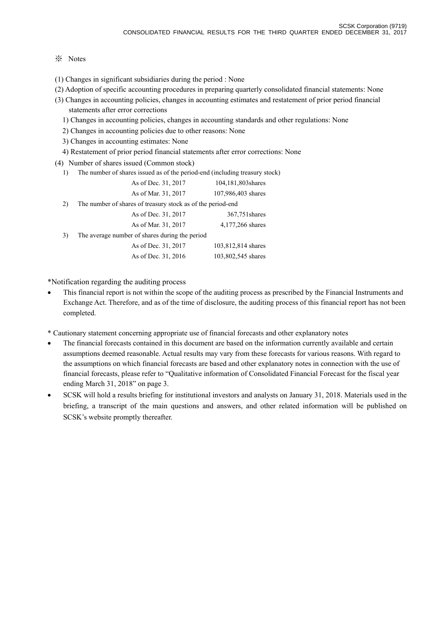### ※ Notes

(1) Changes in significant subsidiaries during the period : None

(2) Adoption of specific accounting procedures in preparing quarterly consolidated financial statements: None

- (3) Changes in accounting policies, changes in accounting estimates and restatement of prior period financial statements after error corrections
	- 1) Changes in accounting policies, changes in accounting standards and other regulations: None
	- 2) Changes in accounting policies due to other reasons: None
	- 3) Changes in accounting estimates: None
	- 4) Restatement of prior period financial statements after error corrections: None
- (4) Number of shares issued (Common stock)
	- 1) The number of shares issued as of the period-end (including treasury stock)

|    | As of Dec. 31, 2017                                         | 104,181,803 shares |  |
|----|-------------------------------------------------------------|--------------------|--|
|    | As of Mar. 31, 2017                                         | 107,986,403 shares |  |
| 2) | The number of shares of treasury stock as of the period-end |                    |  |
|    | As of Dec. 31, 2017                                         | 367,751 shares     |  |
|    | As of Mar. 31, 2017                                         | 4,177,266 shares   |  |
| 3) | The average number of shares during the period              |                    |  |
|    | As of Dec. 31, 2017                                         | 103,812,814 shares |  |
|    | As of Dec. 31, 2016                                         | 103,802,545 shares |  |

\*Notification regarding the auditing process

- This financial report is not within the scope of the auditing process as prescribed by the Financial Instruments and Exchange Act. Therefore, and as of the time of disclosure, the auditing process of this financial report has not been completed.
- \* Cautionary statement concerning appropriate use of financial forecasts and other explanatory notes
- The financial forecasts contained in this document are based on the information currently available and certain assumptions deemed reasonable. Actual results may vary from these forecasts for various reasons. With regard to the assumptions on which financial forecasts are based and other explanatory notes in connection with the use of financial forecasts, please refer to "Qualitative information of Consolidated Financial Forecast for the fiscal year ending March 31, 2018" on page 3.
- SCSK will hold a results briefing for institutional investors and analysts on January 31, 2018. Materials used in the briefing, a transcript of the main questions and answers, and other related information will be published on SCSK's website promptly thereafter.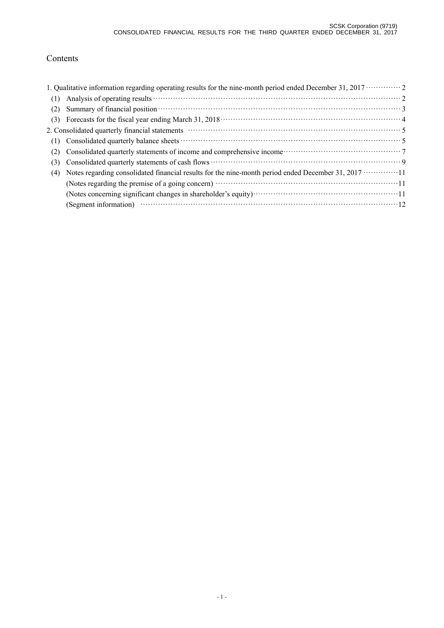# Contents

|     | 1. Qualitative information regarding operating results for the nine-month period ended December 31, 2017 ············· 2                                                                                                       |
|-----|--------------------------------------------------------------------------------------------------------------------------------------------------------------------------------------------------------------------------------|
| (1) |                                                                                                                                                                                                                                |
| (2) | Summary of financial position 3                                                                                                                                                                                                |
| (3) |                                                                                                                                                                                                                                |
|     | 2. Consolidated quarterly financial statements material contracts and statements of the statements of the statements of the statements of the statements of the statements of the statements of the statements of the statemen |
| (1) |                                                                                                                                                                                                                                |
| (2) |                                                                                                                                                                                                                                |
| (3) |                                                                                                                                                                                                                                |
| (4) | Notes regarding consolidated financial results for the nine-month period ended December 31, 2017 ················11                                                                                                            |
|     | (Notes regarding the premise of a going concern) manufactured contract to the premise of a going concern)                                                                                                                      |
|     |                                                                                                                                                                                                                                |
|     | (Segment information) $\cdots$ $\cdots$ $\cdots$ $\cdots$ $\cdots$ $\cdots$ $\cdots$ $\cdots$ $\cdots$ $\cdots$ $\cdots$ $\cdots$ $\cdots$ $\cdots$ $\cdots$ $\cdots$                                                          |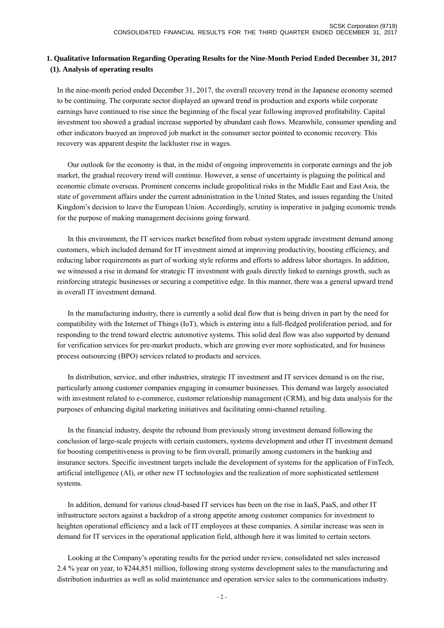## **1. Qualitative Information Regarding Operating Results for the Nine-Month Period Ended December 31, 2017 (1). Analysis of operating results**

In the nine-month period ended December 31, 2017, the overall recovery trend in the Japanese economy seemed to be continuing. The corporate sector displayed an upward trend in production and exports while corporate earnings have continued to rise since the beginning of the fiscal year following improved profitability. Capital investment too showed a gradual increase supported by abundant cash flows. Meanwhile, consumer spending and other indicators buoyed an improved job market in the consumer sector pointed to economic recovery. This recovery was apparent despite the lackluster rise in wages.

Our outlook for the economy is that, in the midst of ongoing improvements in corporate earnings and the job market, the gradual recovery trend will continue. However, a sense of uncertainty is plaguing the political and economic climate overseas. Prominent concerns include geopolitical risks in the Middle East and East Asia, the state of government affairs under the current administration in the United States, and issues regarding the United Kingdom's decision to leave the European Union. Accordingly, scrutiny is imperative in judging economic trends for the purpose of making management decisions going forward.

In this environment, the IT services market benefited from robust system upgrade investment demand among customers, which included demand for IT investment aimed at improving productivity, boosting efficiency, and reducing labor requirements as part of working style reforms and efforts to address labor shortages. In addition, we witnessed a rise in demand for strategic IT investment with goals directly linked to earnings growth, such as reinforcing strategic businesses or securing a competitive edge. In this manner, there was a general upward trend in overall IT investment demand.

In the manufacturing industry, there is currently a solid deal flow that is being driven in part by the need for compatibility with the Internet of Things (IoT), which is entering into a full-fledged proliferation period, and for responding to the trend toward electric automotive systems. This solid deal flow was also supported by demand for verification services for pre-market products, which are growing ever more sophisticated, and for business process outsourcing (BPO) services related to products and services.

In distribution, service, and other industries, strategic IT investment and IT services demand is on the rise, particularly among customer companies engaging in consumer businesses. This demand was largely associated with investment related to e-commerce, customer relationship management (CRM), and big data analysis for the purposes of enhancing digital marketing initiatives and facilitating omni-channel retailing.

In the financial industry, despite the rebound from previously strong investment demand following the conclusion of large-scale projects with certain customers, systems development and other IT investment demand for boosting competitiveness is proving to be firm overall, primarily among customers in the banking and insurance sectors. Specific investment targets include the development of systems for the application of FinTech, artificial intelligence (AI), or other new IT technologies and the realization of more sophisticated settlement systems.

In addition, demand for various cloud-based IT services has been on the rise in IaaS, PaaS, and other IT infrastructure sectors against a backdrop of a strong appetite among customer companies for investment to heighten operational efficiency and a lack of IT employees at these companies. A similar increase was seen in demand for IT services in the operational application field, although here it was limited to certain sectors.

Looking at the Company's operating results for the period under review, consolidated net sales increased 2.4 % year on year, to ¥244,851 million, following strong systems development sales to the manufacturing and distribution industries as well as solid maintenance and operation service sales to the communications industry.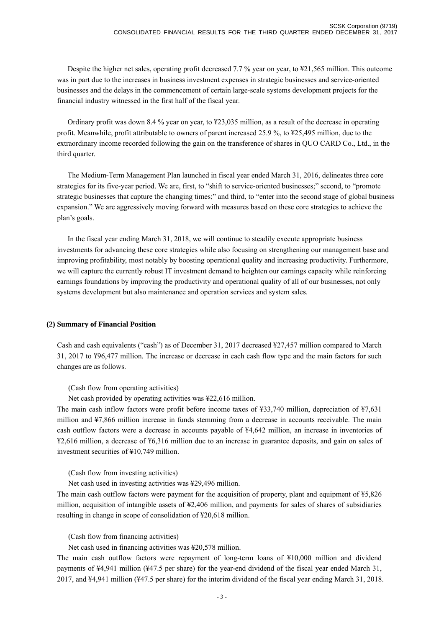Despite the higher net sales, operating profit decreased 7.7 % year on year, to ¥21,565 million. This outcome was in part due to the increases in business investment expenses in strategic businesses and service-oriented businesses and the delays in the commencement of certain large-scale systems development projects for the financial industry witnessed in the first half of the fiscal year.

Ordinary profit was down 8.4 % year on year, to ¥23,035 million, as a result of the decrease in operating profit. Meanwhile, profit attributable to owners of parent increased 25.9 %, to ¥25,495 million, due to the extraordinary income recorded following the gain on the transference of shares in QUO CARD Co., Ltd., in the third quarter.

The Medium-Term Management Plan launched in fiscal year ended March 31, 2016, delineates three core strategies for its five-year period. We are, first, to "shift to service-oriented businesses;" second, to "promote strategic businesses that capture the changing times;" and third, to "enter into the second stage of global business expansion." We are aggressively moving forward with measures based on these core strategies to achieve the plan's goals.

In the fiscal year ending March 31, 2018, we will continue to steadily execute appropriate business investments for advancing these core strategies while also focusing on strengthening our management base and improving profitability, most notably by boosting operational quality and increasing productivity. Furthermore, we will capture the currently robust IT investment demand to heighten our earnings capacity while reinforcing earnings foundations by improving the productivity and operational quality of all of our businesses, not only systems development but also maintenance and operation services and system sales.

### **(2) Summary of Financial Position**

Cash and cash equivalents ("cash") as of December 31, 2017 decreased ¥27,457 million compared to March 31, 2017 to ¥96,477 million. The increase or decrease in each cash flow type and the main factors for such changes are as follows.

(Cash flow from operating activities)

Net cash provided by operating activities was ¥22,616 million.

The main cash inflow factors were profit before income taxes of ¥33,740 million, depreciation of ¥7,631 million and ¥7,866 million increase in funds stemming from a decrease in accounts receivable. The main cash outflow factors were a decrease in accounts payable of ¥4,642 million, an increase in inventories of ¥2,616 million, a decrease of ¥6,316 million due to an increase in guarantee deposits, and gain on sales of investment securities of ¥10,749 million.

(Cash flow from investing activities)

Net cash used in investing activities was ¥29,496 million.

The main cash outflow factors were payment for the acquisition of property, plant and equipment of ¥5,826 million, acquisition of intangible assets of ¥2,406 million, and payments for sales of shares of subsidiaries resulting in change in scope of consolidation of ¥20,618 million.

(Cash flow from financing activities)

Net cash used in financing activities was ¥20,578 million.

The main cash outflow factors were repayment of long-term loans of ¥10,000 million and dividend payments of ¥4,941 million (¥47.5 per share) for the year-end dividend of the fiscal year ended March 31, 2017, and ¥4,941 million (¥47.5 per share) for the interim dividend of the fiscal year ending March 31, 2018.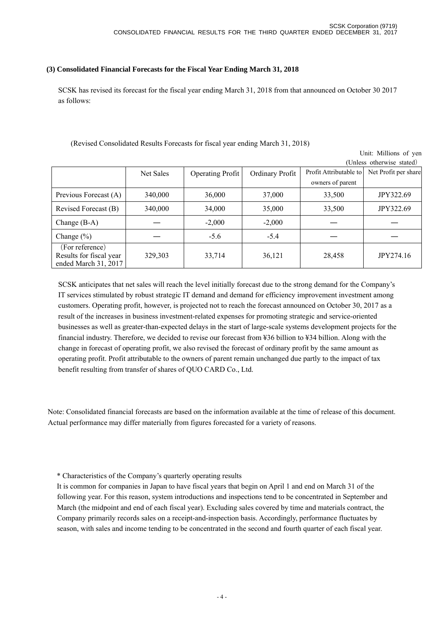### **(3) Consolidated Financial Forecasts for the Fiscal Year Ending March 31, 2018**

SCSK has revised its forecast for the fiscal year ending March 31, 2018 from that announced on October 30 2017 as follows:

## (Revised Consolidated Results Forecasts for fiscal year ending March 31, 2018)

 Unit: Millions of yen (Unless otherwise stated)

|                                                                    |           |                         |                 |                        | UNICSS UNICIWIST STATELY |
|--------------------------------------------------------------------|-----------|-------------------------|-----------------|------------------------|--------------------------|
|                                                                    | Net Sales | <b>Operating Profit</b> | Ordinary Profit | Profit Attributable to | Net Profit per share     |
|                                                                    |           |                         |                 | owners of parent       |                          |
| Previous Forecast (A)                                              | 340,000   | 36,000                  | 37,000          | 33,500                 | JPY322.69                |
| Revised Forecast (B)                                               | 340,000   | 34,000                  | 35,000          | 33,500                 | JPY322.69                |
| Change $(B-A)$                                                     |           | $-2,000$                | $-2,000$        |                        |                          |
| Change $(\% )$                                                     |           | $-5.6$                  | $-5.4$          |                        |                          |
| (For reference)<br>Results for fiscal year<br>ended March 31, 2017 | 329,303   | 33,714                  | 36,121          | 28,458                 | JPY274.16                |

SCSK anticipates that net sales will reach the level initially forecast due to the strong demand for the Company's IT services stimulated by robust strategic IT demand and demand for efficiency improvement investment among customers. Operating profit, however, is projected not to reach the forecast announced on October 30, 2017 as a result of the increases in business investment-related expenses for promoting strategic and service-oriented businesses as well as greater-than-expected delays in the start of large-scale systems development projects for the financial industry. Therefore, we decided to revise our forecast from ¥36 billion to ¥34 billion. Along with the change in forecast of operating profit, we also revised the forecast of ordinary profit by the same amount as operating profit. Profit attributable to the owners of parent remain unchanged due partly to the impact of tax benefit resulting from transfer of shares of QUO CARD Co., Ltd.

Note: Consolidated financial forecasts are based on the information available at the time of release of this document. Actual performance may differ materially from figures forecasted for a variety of reasons.

\* Characteristics of the Company's quarterly operating results

It is common for companies in Japan to have fiscal years that begin on April 1 and end on March 31 of the following year. For this reason, system introductions and inspections tend to be concentrated in September and March (the midpoint and end of each fiscal year). Excluding sales covered by time and materials contract, the Company primarily records sales on a receipt-and-inspection basis. Accordingly, performance fluctuates by season, with sales and income tending to be concentrated in the second and fourth quarter of each fiscal year.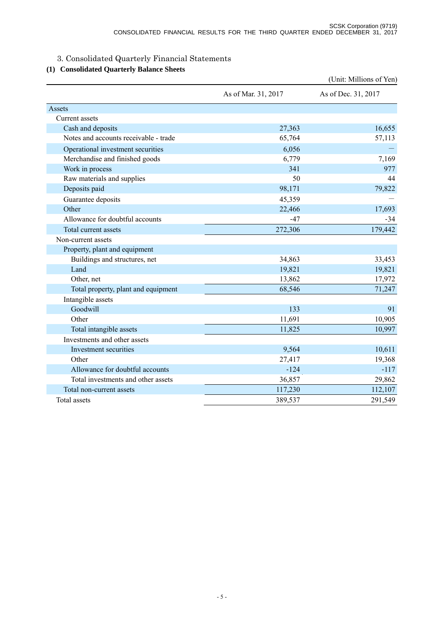# 3. Consolidated Quarterly Financial Statements

# **(1) Consolidated Quarterly Balance Sheets**

|                                       |                     | (Unit: Millions of Yen) |
|---------------------------------------|---------------------|-------------------------|
|                                       | As of Mar. 31, 2017 | As of Dec. 31, 2017     |
| Assets                                |                     |                         |
| Current assets                        |                     |                         |
| Cash and deposits                     | 27,363              | 16,655                  |
| Notes and accounts receivable - trade | 65,764              | 57,113                  |
| Operational investment securities     | 6,056               |                         |
| Merchandise and finished goods        | 6,779               | 7,169                   |
| Work in process                       | 341                 | 977                     |
| Raw materials and supplies            | 50                  | 44                      |
| Deposits paid                         | 98,171              | 79,822                  |
| Guarantee deposits                    | 45,359              |                         |
| Other                                 | 22,466              | 17,693                  |
| Allowance for doubtful accounts       | $-47$               | $-34$                   |
| Total current assets                  | 272,306             | 179,442                 |
| Non-current assets                    |                     |                         |
| Property, plant and equipment         |                     |                         |
| Buildings and structures, net         | 34,863              | 33,453                  |
| Land                                  | 19,821              | 19,821                  |
| Other, net                            | 13,862              | 17,972                  |
| Total property, plant and equipment   | 68,546              | 71,247                  |
| Intangible assets                     |                     |                         |
| Goodwill                              | 133                 | 91                      |
| Other                                 | 11,691              | 10,905                  |
| Total intangible assets               | 11,825              | 10,997                  |
| Investments and other assets          |                     |                         |
| Investment securities                 | 9,564               | 10,611                  |
| Other                                 | 27,417              | 19,368                  |
| Allowance for doubtful accounts       | $-124$              | $-117$                  |
| Total investments and other assets    | 36,857              | 29,862                  |
| Total non-current assets              | 117,230             | 112,107                 |
| Total assets                          | 389,537             | 291,549                 |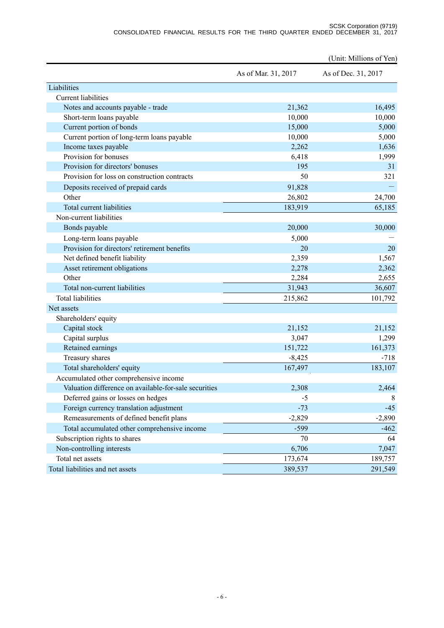#### SCSK Corporation (9719) CONSOLIDATED FINANCIAL RESULTS FOR THE THIRD QUARTER ENDED DECEMBER 31, 2017

|                                                       |                     | (Unit: Millions of Yen) |
|-------------------------------------------------------|---------------------|-------------------------|
|                                                       | As of Mar. 31, 2017 | As of Dec. 31, 2017     |
| Liabilities                                           |                     |                         |
| <b>Current liabilities</b>                            |                     |                         |
| Notes and accounts payable - trade                    | 21,362              | 16,495                  |
| Short-term loans payable                              | 10,000              | 10,000                  |
| Current portion of bonds                              | 15,000              | 5,000                   |
| Current portion of long-term loans payable            | 10,000              | 5,000                   |
| Income taxes payable                                  | 2,262               | 1,636                   |
| Provision for bonuses                                 | 6,418               | 1,999                   |
| Provision for directors' bonuses                      | 195                 | 31                      |
| Provision for loss on construction contracts          | 50                  | 321                     |
| Deposits received of prepaid cards                    | 91,828              |                         |
| Other                                                 | 26,802              | 24,700                  |
| Total current liabilities                             | 183,919             | 65,185                  |
| Non-current liabilities                               |                     |                         |
| Bonds payable                                         | 20,000              | 30,000                  |
| Long-term loans payable                               | 5,000               |                         |
| Provision for directors' retirement benefits          | 20                  | 20                      |
| Net defined benefit liability                         | 2,359               | 1,567                   |
| Asset retirement obligations                          | 2,278               | 2,362                   |
| Other                                                 | 2,284               | 2,655                   |
| Total non-current liabilities                         | 31,943              | 36,607                  |
| <b>Total liabilities</b>                              | 215,862             | 101,792                 |
| Net assets                                            |                     |                         |
| Shareholders' equity                                  |                     |                         |
| Capital stock                                         | 21,152              | 21,152                  |
| Capital surplus                                       | 3,047               | 1,299                   |
| Retained earnings                                     | 151,722             | 161,373                 |
| Treasury shares                                       | $-8,425$            | $-718$                  |
| Total shareholders' equity                            | 167,497             | 183,107                 |
| Accumulated other comprehensive income                |                     |                         |
| Valuation difference on available-for-sale securities | 2,308               | 2,464                   |
| Deferred gains or losses on hedges                    | $-5$                | 8                       |
| Foreign currency translation adjustment               | $-73$               | $-45$                   |
| Remeasurements of defined benefit plans               | $-2,829$            | $-2,890$                |
| Total accumulated other comprehensive income          | $-599$              | $-462$                  |
| Subscription rights to shares                         | 70                  | 64                      |
| Non-controlling interests                             | 6,706               | 7,047                   |
| Total net assets                                      | 173,674             | 189,757                 |
| Total liabilities and net assets                      | 389,537             | 291,549                 |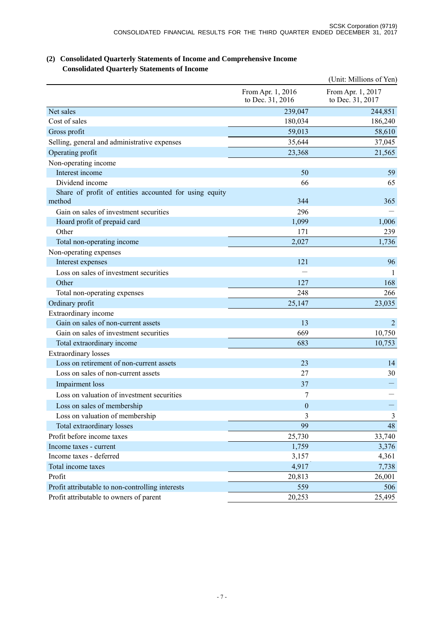|                                                                  |                                       | (Unit: Millions of Yen)               |
|------------------------------------------------------------------|---------------------------------------|---------------------------------------|
|                                                                  | From Apr. 1, 2016<br>to Dec. 31, 2016 | From Apr. 1, 2017<br>to Dec. 31, 2017 |
| Net sales                                                        | 239,047                               | 244,851                               |
| Cost of sales                                                    | 180,034                               | 186,240                               |
| Gross profit                                                     | 59,013                                | 58,610                                |
| Selling, general and administrative expenses                     | 35,644                                | 37,045                                |
| Operating profit                                                 | 23,368                                | 21,565                                |
| Non-operating income                                             |                                       |                                       |
| Interest income                                                  | 50                                    | 59                                    |
| Dividend income                                                  | 66                                    | 65                                    |
| Share of profit of entities accounted for using equity<br>method | 344                                   | 365                                   |
| Gain on sales of investment securities                           | 296                                   |                                       |
| Hoard profit of prepaid card                                     | 1,099                                 | 1,006                                 |
| Other                                                            | 171                                   | 239                                   |
| Total non-operating income                                       | 2,027                                 | 1,736                                 |
| Non-operating expenses                                           |                                       |                                       |
| Interest expenses                                                | 121                                   | 96                                    |
| Loss on sales of investment securities                           |                                       |                                       |
| Other                                                            | 127                                   | 168                                   |
| Total non-operating expenses                                     | 248                                   | 266                                   |
| Ordinary profit                                                  | 25,147                                | 23,035                                |
| Extraordinary income                                             |                                       |                                       |
| Gain on sales of non-current assets                              | 13                                    | 2                                     |
| Gain on sales of investment securities                           | 669                                   | 10,750                                |
| المتعمل والمتحدث والمسترقص والمستحدث المتناوية                   | 602                                   | 10.752                                |

### **(2) Consolidated Quarterly Statements of Income and Comprehensive Income Consolidated Quarterly Statements of Income**

| Gain on sales of investment securities           | 669      | 10,750 |
|--------------------------------------------------|----------|--------|
| Total extraordinary income                       | 683      | 10,753 |
| <b>Extraordinary losses</b>                      |          |        |
| Loss on retirement of non-current assets         | 23       | 14     |
| Loss on sales of non-current assets              | 27       | 30     |
| Impairment loss                                  | 37       |        |
| Loss on valuation of investment securities       | 7        |        |
| Loss on sales of membership                      | $\theta$ |        |
| Loss on valuation of membership                  | 3        | 3      |
| Total extraordinary losses                       | 99       | 48     |
| Profit before income taxes                       | 25,730   | 33,740 |
| Income taxes - current                           | 1,759    | 3,376  |
| Income taxes - deferred                          | 3,157    | 4,361  |
| Total income taxes                               | 4,917    | 7,738  |
| Profit                                           | 20,813   | 26,001 |
| Profit attributable to non-controlling interests | 559      | 506    |
| Profit attributable to owners of parent          | 20,253   | 25,495 |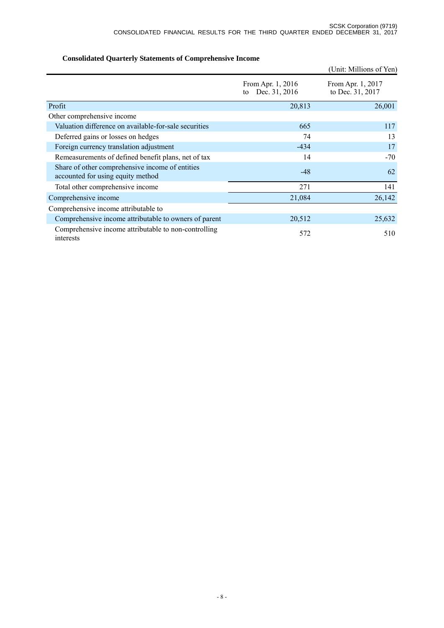|                                                                                      |                                          | (Unit: Millions of Yen)               |
|--------------------------------------------------------------------------------------|------------------------------------------|---------------------------------------|
|                                                                                      | From Apr. 1, 2016<br>Dec. 31, 2016<br>to | From Apr. 1, 2017<br>to Dec. 31, 2017 |
| Profit                                                                               | 20,813                                   | 26,001                                |
| Other comprehensive income                                                           |                                          |                                       |
| Valuation difference on available-for-sale securities                                | 665                                      | 117                                   |
| Deferred gains or losses on hedges                                                   | 74                                       | 13                                    |
| Foreign currency translation adjustment                                              | $-434$                                   | 17                                    |
| Remeasurements of defined benefit plans, net of tax                                  | 14                                       | $-70$                                 |
| Share of other comprehensive income of entities<br>accounted for using equity method | -48                                      | 62                                    |
| Total other comprehensive income                                                     | 271                                      | 141                                   |
| Comprehensive income                                                                 | 21,084                                   | 26,142                                |
| Comprehensive income attributable to                                                 |                                          |                                       |
| Comprehensive income attributable to owners of parent                                | 20,512                                   | 25,632                                |
| Comprehensive income attributable to non-controlling<br>interests                    | 572                                      | 510                                   |

# **Consolidated Quarterly Statements of Comprehensive Income**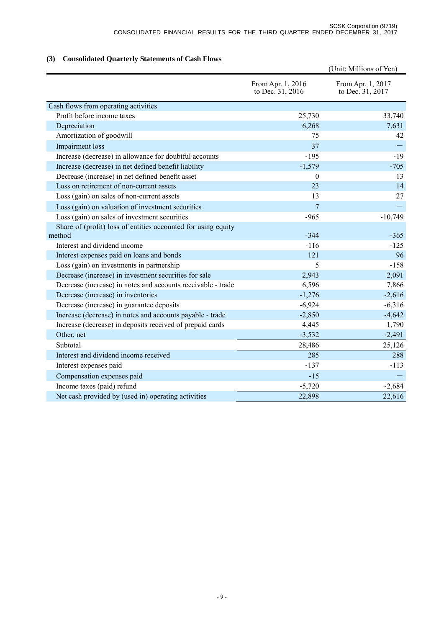# **(3) Consolidated Quarterly Statements of Cash Flows**

|                                                               |                                       | (Unit: Millions of Yen)               |
|---------------------------------------------------------------|---------------------------------------|---------------------------------------|
|                                                               | From Apr. 1, 2016<br>to Dec. 31, 2016 | From Apr. 1, 2017<br>to Dec. 31, 2017 |
| Cash flows from operating activities                          |                                       |                                       |
| Profit before income taxes                                    | 25,730                                | 33,740                                |
| Depreciation                                                  | 6,268                                 | 7,631                                 |
| Amortization of goodwill                                      | 75                                    | 42                                    |
| Impairment loss                                               | 37                                    |                                       |
| Increase (decrease) in allowance for doubtful accounts        | $-195$                                | $-19$                                 |
| Increase (decrease) in net defined benefit liability          | $-1,579$                              | $-705$                                |
| Decrease (increase) in net defined benefit asset              | $\theta$                              | 13                                    |
| Loss on retirement of non-current assets                      | 23                                    | 14                                    |
| Loss (gain) on sales of non-current assets                    | 13                                    | 27                                    |
| Loss (gain) on valuation of investment securities             | $\overline{7}$                        |                                       |
| Loss (gain) on sales of investment securities                 | $-965$                                | $-10,749$                             |
| Share of (profit) loss of entities accounted for using equity |                                       |                                       |
| method                                                        | $-344$                                | $-365$                                |
| Interest and dividend income                                  | $-116$                                | $-125$                                |
| Interest expenses paid on loans and bonds                     | 121                                   | 96                                    |
| Loss (gain) on investments in partnership                     | 5                                     | $-158$                                |
| Decrease (increase) in investment securities for sale         | 2,943                                 | 2,091                                 |
| Decrease (increase) in notes and accounts receivable - trade  | 6,596                                 | 7,866                                 |
| Decrease (increase) in inventories                            | $-1,276$                              | $-2,616$                              |
| Decrease (increase) in guarantee deposits                     | $-6,924$                              | $-6,316$                              |
| Increase (decrease) in notes and accounts payable - trade     | $-2,850$                              | $-4,642$                              |
| Increase (decrease) in deposits received of prepaid cards     | 4,445                                 | 1,790                                 |
| Other, net                                                    | $-3,532$                              | $-2,491$                              |
| Subtotal                                                      | 28,486                                | 25,126                                |
| Interest and dividend income received                         | 285                                   | 288                                   |
| Interest expenses paid                                        | $-137$                                | $-113$                                |
| Compensation expenses paid                                    | $-15$                                 |                                       |
| Income taxes (paid) refund                                    | $-5,720$                              | $-2,684$                              |
| Net cash provided by (used in) operating activities           | 22,898                                | 22,616                                |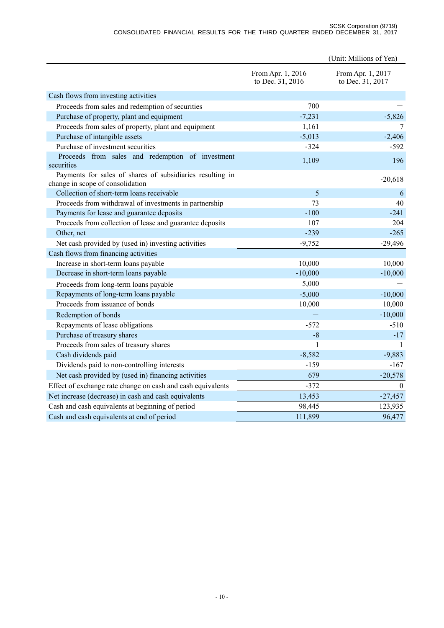#### SCSK Corporation (9719) CONSOLIDATED FINANCIAL RESULTS FOR THE THIRD QUARTER ENDED DECEMBER 31, 2017

|                                                                                               |                                       | (Unit: Millions of Yen)               |
|-----------------------------------------------------------------------------------------------|---------------------------------------|---------------------------------------|
|                                                                                               | From Apr. 1, 2016<br>to Dec. 31, 2016 | From Apr. 1, 2017<br>to Dec. 31, 2017 |
| Cash flows from investing activities                                                          |                                       |                                       |
| Proceeds from sales and redemption of securities                                              | 700                                   |                                       |
| Purchase of property, plant and equipment                                                     | $-7,231$                              | $-5,826$                              |
| Proceeds from sales of property, plant and equipment                                          | 1,161                                 | 7                                     |
| Purchase of intangible assets                                                                 | $-5,013$                              | $-2,406$                              |
| Purchase of investment securities                                                             | $-324$                                | -592                                  |
| Proceeds from sales and redemption of investment<br>securities                                | 1,109                                 | 196                                   |
| Payments for sales of shares of subsidiaries resulting in<br>change in scope of consolidation |                                       | $-20,618$                             |
| Collection of short-term loans receivable                                                     | 5                                     | 6                                     |
| Proceeds from withdrawal of investments in partnership                                        | 73                                    | 40                                    |
| Payments for lease and guarantee deposits                                                     | $-100$                                | $-241$                                |
| Proceeds from collection of lease and guarantee deposits                                      | 107                                   | 204                                   |
| Other, net                                                                                    | $-239$                                | $-265$                                |
| Net cash provided by (used in) investing activities                                           | $-9,752$                              | $-29,496$                             |
| Cash flows from financing activities                                                          |                                       |                                       |
| Increase in short-term loans payable                                                          | 10,000                                | 10,000                                |
| Decrease in short-term loans payable                                                          | $-10,000$                             | $-10,000$                             |
| Proceeds from long-term loans payable                                                         | 5,000                                 |                                       |
| Repayments of long-term loans payable                                                         | $-5,000$                              | $-10,000$                             |
| Proceeds from issuance of bonds                                                               | 10,000                                | 10,000                                |
| Redemption of bonds                                                                           |                                       | $-10,000$                             |
| Repayments of lease obligations                                                               | $-572$                                | $-510$                                |
| Purchase of treasury shares                                                                   | $-8$                                  | $-17$                                 |
| Proceeds from sales of treasury shares                                                        | 1                                     | -1                                    |
| Cash dividends paid                                                                           | $-8,582$                              | $-9,883$                              |
| Dividends paid to non-controlling interests                                                   | $-159$                                | $-167$                                |
| Net cash provided by (used in) financing activities                                           | 679                                   | $-20,578$                             |
| Effect of exchange rate change on cash and cash equivalents                                   | $-372$                                | $\overline{0}$                        |
| Net increase (decrease) in cash and cash equivalents                                          | 13,453                                | $-27,457$                             |
| Cash and cash equivalents at beginning of period                                              | 98,445                                | 123,935                               |
| Cash and cash equivalents at end of period                                                    | 111,899                               | 96,477                                |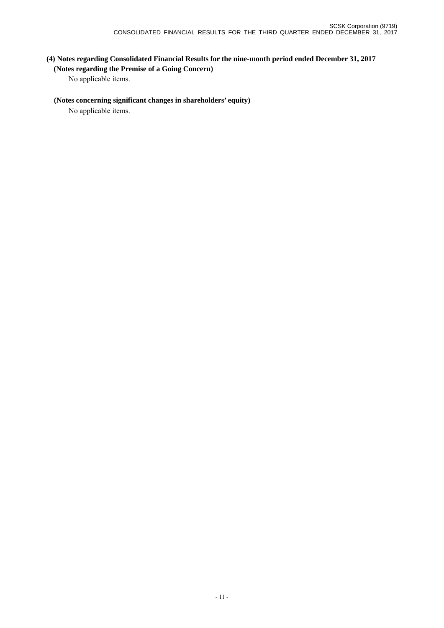# **(4) Notes regarding Consolidated Financial Results for the nine-month period ended December 31, 2017 (Notes regarding the Premise of a Going Concern)**

No applicable items.

### **(Notes concerning significant changes in shareholders' equity)**

No applicable items.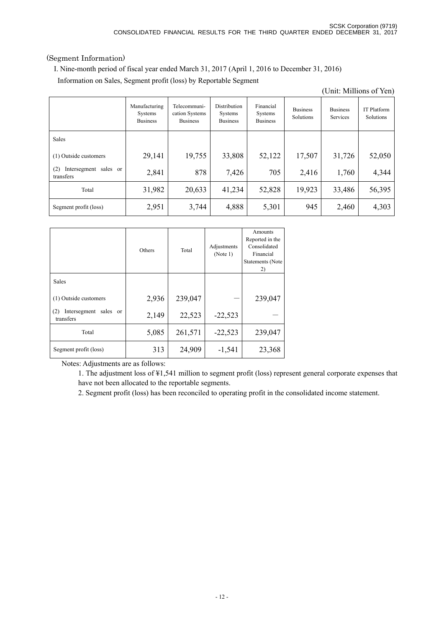## (Segment Information)

I. Nine-month period of fiscal year ended March 31, 2017 (April 1, 2016 to December 31, 2016)

Information on Sales, Segment profit (loss) by Reportable Segment

(Unit: Millions of Yen)

|                                           | Manufacturing<br>Systems<br><b>Business</b> | Telecommuni-<br>cation Systems<br><b>Business</b> | Distribution<br>Systems<br><b>Business</b> | Financial<br>Systems<br><b>Business</b> | <b>Business</b><br>Solutions | <b>Business</b><br>Services | <b>IT Platform</b><br>Solutions |
|-------------------------------------------|---------------------------------------------|---------------------------------------------------|--------------------------------------------|-----------------------------------------|------------------------------|-----------------------------|---------------------------------|
| <b>Sales</b>                              |                                             |                                                   |                                            |                                         |                              |                             |                                 |
| (1) Outside customers                     | 29,141                                      | 19,755                                            | 33,808                                     | 52,122                                  | 17,507                       | 31,726                      | 52,050                          |
| (2)<br>Intersegment sales or<br>transfers | 2,841                                       | 878                                               | 7,426                                      | 705                                     | 2,416                        | 1,760                       | 4,344                           |
| Total                                     | 31,982                                      | 20,633                                            | 41,234                                     | 52,828                                  | 19,923                       | 33,486                      | 56,395                          |
| Segment profit (loss)                     | 2,951                                       | 3,744                                             | 4,888                                      | 5,301                                   | 945                          | 2,460                       | 4,303                           |

|                                                 | Others | Total   | Adjustments<br>(Note 1) | Amounts<br>Reported in the<br>Consolidated<br>Financial<br>Statements (Note<br>2) |
|-------------------------------------------------|--------|---------|-------------------------|-----------------------------------------------------------------------------------|
| <b>Sales</b>                                    |        |         |                         |                                                                                   |
| (1) Outside customers                           | 2,936  | 239,047 |                         | 239,047                                                                           |
| Intersegment<br>(2)<br>sales<br>or<br>transfers | 2,149  | 22,523  | $-22,523$               |                                                                                   |
| Total                                           | 5,085  | 261,571 | $-22,523$               | 239,047                                                                           |
| Segment profit (loss)                           | 313    | 24,909  | $-1,541$                | 23,368                                                                            |

Notes: Adjustments are as follows:

1. The adjustment loss of ¥1,541 million to segment profit (loss) represent general corporate expenses that have not been allocated to the reportable segments.

2. Segment profit (loss) has been reconciled to operating profit in the consolidated income statement.